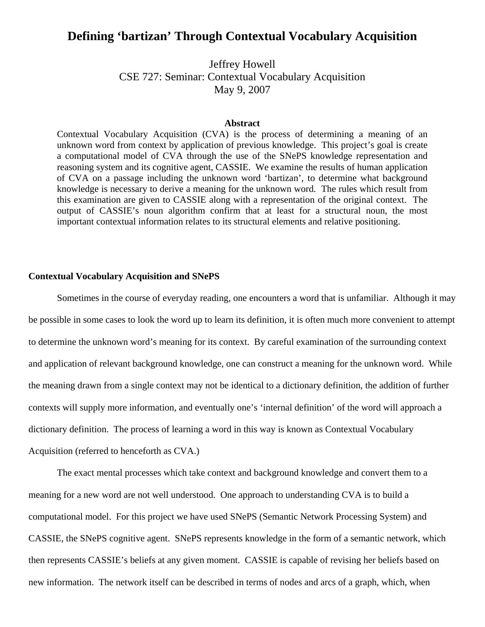# **Defining 'bartizan' Through Contextual Vocabulary Acquisition**

Jeffrey Howell CSE 727: Seminar: Contextual Vocabulary Acquisition May 9, 2007

#### **Abstract**

Contextual Vocabulary Acquisition (CVA) is the process of determining a meaning of an unknown word from context by application of previous knowledge. This project's goal is create a computational model of CVA through the use of the SNePS knowledge representation and reasoning system and its cognitive agent, CASSIE. We examine the results of human application of CVA on a passage including the unknown word 'bartizan', to determine what background knowledge is necessary to derive a meaning for the unknown word. The rules which result from this examination are given to CASSIE along with a representation of the original context. The output of CASSIE's noun algorithm confirm that at least for a structural noun, the most important contextual information relates to its structural elements and relative positioning.

#### **Contextual Vocabulary Acquisition and SNePS**

 Sometimes in the course of everyday reading, one encounters a word that is unfamiliar. Although it may be possible in some cases to look the word up to learn its definition, it is often much more convenient to attempt to determine the unknown word's meaning for its context. By careful examination of the surrounding context and application of relevant background knowledge, one can construct a meaning for the unknown word. While the meaning drawn from a single context may not be identical to a dictionary definition, the addition of further contexts will supply more information, and eventually one's 'internal definition' of the word will approach a dictionary definition. The process of learning a word in this way is known as Contextual Vocabulary Acquisition (referred to henceforth as CVA.)

 The exact mental processes which take context and background knowledge and convert them to a meaning for a new word are not well understood. One approach to understanding CVA is to build a computational model. For this project we have used SNePS (Semantic Network Processing System) and CASSIE, the SNePS cognitive agent. SNePS represents knowledge in the form of a semantic network, which then represents CASSIE's beliefs at any given moment. CASSIE is capable of revising her beliefs based on new information. The network itself can be described in terms of nodes and arcs of a graph, which, when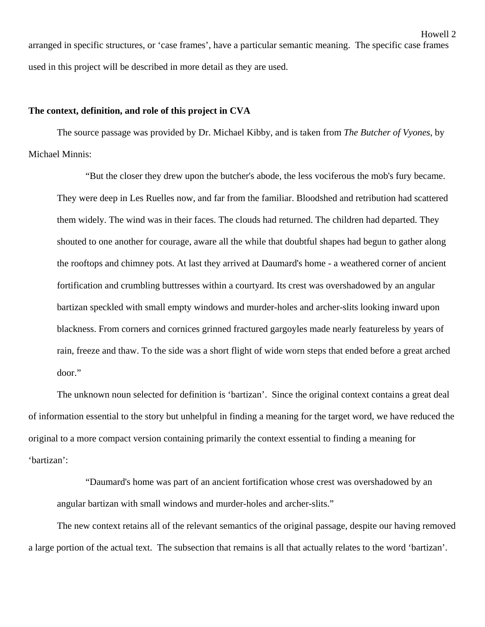arranged in specific structures, or 'case frames', have a particular semantic meaning. The specific case frames used in this project will be described in more detail as they are used.

#### **The context, definition, and role of this project in CVA**

 The source passage was provided by Dr. Michael Kibby, and is taken from *The Butcher of Vyones*, by Michael Minnis:

 "But the closer they drew upon the butcher's abode, the less vociferous the mob's fury became. They were deep in Les Ruelles now, and far from the familiar. Bloodshed and retribution had scattered them widely. The wind was in their faces. The clouds had returned. The children had departed. They shouted to one another for courage, aware all the while that doubtful shapes had begun to gather along the rooftops and chimney pots. At last they arrived at Daumard's home - a weathered corner of ancient fortification and crumbling buttresses within a courtyard. Its crest was overshadowed by an angular bartizan speckled with small empty windows and murder-holes and archer-slits looking inward upon blackness. From corners and cornices grinned fractured gargoyles made nearly featureless by years of rain, freeze and thaw. To the side was a short flight of wide worn steps that ended before a great arched door."

 The unknown noun selected for definition is 'bartizan'. Since the original context contains a great deal of information essential to the story but unhelpful in finding a meaning for the target word, we have reduced the original to a more compact version containing primarily the context essential to finding a meaning for 'bartizan':

 "Daumard's home was part of an ancient fortification whose crest was overshadowed by an angular bartizan with small windows and murder-holes and archer-slits."

 The new context retains all of the relevant semantics of the original passage, despite our having removed a large portion of the actual text. The subsection that remains is all that actually relates to the word 'bartizan'.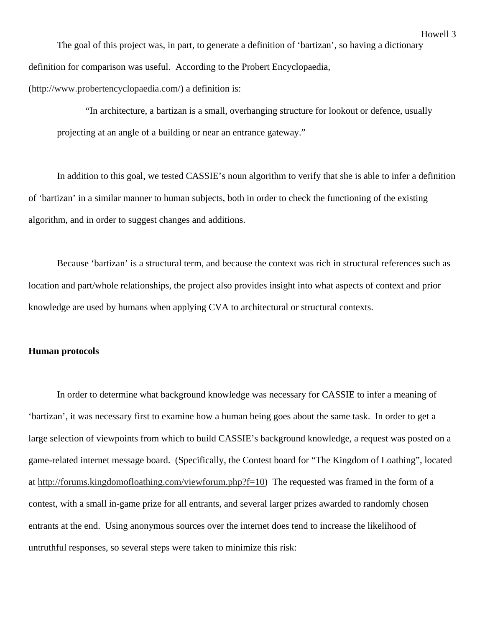The goal of this project was, in part, to generate a definition of 'bartizan', so having a dictionary definition for comparison was useful. According to the Probert Encyclopaedia,

(http://www.probertencyclopaedia.com/) a definition is:

 "In architecture, a bartizan is a small, overhanging structure for lookout or defence, usually projecting at an angle of a building or near an entrance gateway."

 In addition to this goal, we tested CASSIE's noun algorithm to verify that she is able to infer a definition of 'bartizan' in a similar manner to human subjects, both in order to check the functioning of the existing algorithm, and in order to suggest changes and additions.

 Because 'bartizan' is a structural term, and because the context was rich in structural references such as location and part/whole relationships, the project also provides insight into what aspects of context and prior knowledge are used by humans when applying CVA to architectural or structural contexts.

#### **Human protocols**

 In order to determine what background knowledge was necessary for CASSIE to infer a meaning of 'bartizan', it was necessary first to examine how a human being goes about the same task. In order to get a large selection of viewpoints from which to build CASSIE's background knowledge, a request was posted on a game-related internet message board. (Specifically, the Contest board for "The Kingdom of Loathing", located at http://forums.kingdomofloathing.com/viewforum.php?f=10) The requested was framed in the form of a contest, with a small in-game prize for all entrants, and several larger prizes awarded to randomly chosen entrants at the end. Using anonymous sources over the internet does tend to increase the likelihood of untruthful responses, so several steps were taken to minimize this risk: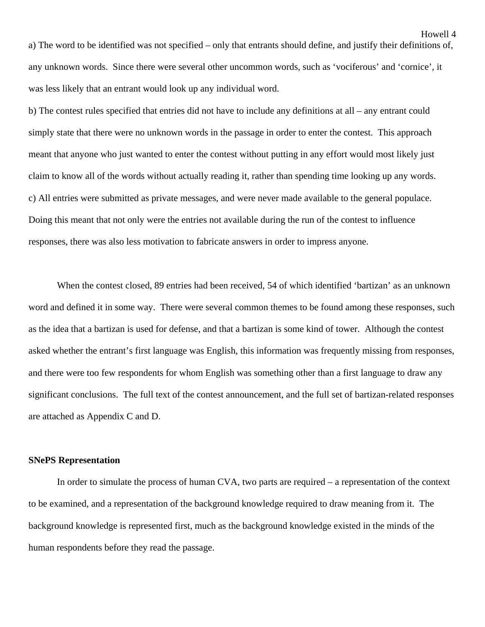a) The word to be identified was not specified – only that entrants should define, and justify their definitions of, any unknown words. Since there were several other uncommon words, such as 'vociferous' and 'cornice', it was less likely that an entrant would look up any individual word.

b) The contest rules specified that entries did not have to include any definitions at all – any entrant could simply state that there were no unknown words in the passage in order to enter the contest. This approach meant that anyone who just wanted to enter the contest without putting in any effort would most likely just claim to know all of the words without actually reading it, rather than spending time looking up any words. c) All entries were submitted as private messages, and were never made available to the general populace. Doing this meant that not only were the entries not available during the run of the contest to influence responses, there was also less motivation to fabricate answers in order to impress anyone.

 When the contest closed, 89 entries had been received, 54 of which identified 'bartizan' as an unknown word and defined it in some way. There were several common themes to be found among these responses, such as the idea that a bartizan is used for defense, and that a bartizan is some kind of tower. Although the contest asked whether the entrant's first language was English, this information was frequently missing from responses, and there were too few respondents for whom English was something other than a first language to draw any significant conclusions. The full text of the contest announcement, and the full set of bartizan-related responses are attached as Appendix C and D.

#### **SNePS Representation**

 In order to simulate the process of human CVA, two parts are required – a representation of the context to be examined, and a representation of the background knowledge required to draw meaning from it. The background knowledge is represented first, much as the background knowledge existed in the minds of the human respondents before they read the passage.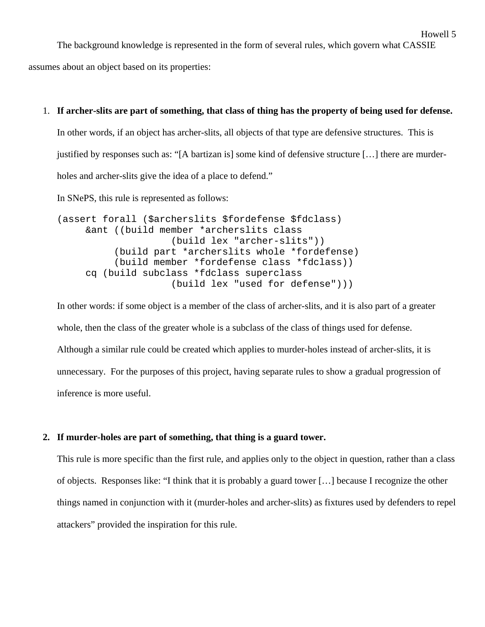The background knowledge is represented in the form of several rules, which govern what CASSIE

Howell 5

assumes about an object based on its properties:

#### 1. **If archer-slits are part of something, that class of thing has the property of being used for defense.**

In other words, if an object has archer-slits, all objects of that type are defensive structures. This is justified by responses such as: "[A bartizan is] some kind of defensive structure […] there are murderholes and archer-slits give the idea of a place to defend."

In SNePS, this rule is represented as follows:

```
(assert forall ($archerslits $fordefense $fdclass) 
      &ant ((build member *archerslits class 
                      (build lex "archer-slits")) 
           (build part *archerslits whole *fordefense) 
           (build member *fordefense class *fdclass)) 
      cq (build subclass *fdclass superclass 
                      (build lex "used for defense")))
```
In other words: if some object is a member of the class of archer-slits, and it is also part of a greater whole, then the class of the greater whole is a subclass of the class of things used for defense. Although a similar rule could be created which applies to murder-holes instead of archer-slits, it is unnecessary. For the purposes of this project, having separate rules to show a gradual progression of inference is more useful.

### **2. If murder-holes are part of something, that thing is a guard tower.**

This rule is more specific than the first rule, and applies only to the object in question, rather than a class of objects. Responses like: "I think that it is probably a guard tower […] because I recognize the other things named in conjunction with it (murder-holes and archer-slits) as fixtures used by defenders to repel attackers" provided the inspiration for this rule.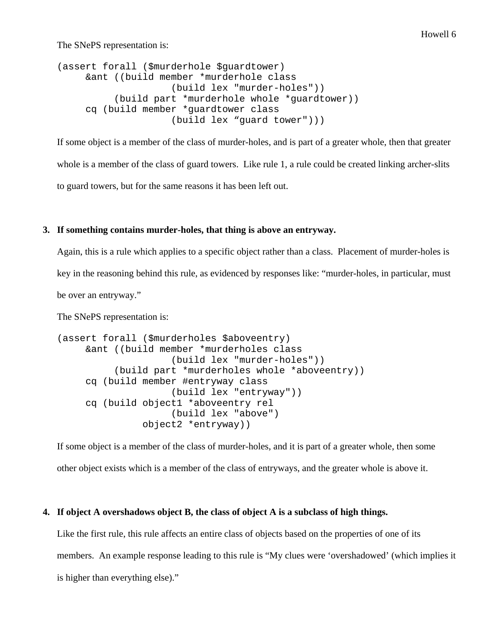The SNePS representation is:

```
(assert forall ($murderhole $guardtower) 
      &ant ((build member *murderhole class 
                      (build lex "murder-holes")) 
           (build part *murderhole whole *guardtower)) 
      cq (build member *guardtower class 
                      (build lex "guard tower")))
```
If some object is a member of the class of murder-holes, and is part of a greater whole, then that greater whole is a member of the class of guard towers. Like rule 1, a rule could be created linking archer-slits to guard towers, but for the same reasons it has been left out.

## **3. If something contains murder-holes, that thing is above an entryway.**

Again, this is a rule which applies to a specific object rather than a class. Placement of murder-holes is key in the reasoning behind this rule, as evidenced by responses like: "murder-holes, in particular, must be over an entryway."

The SNePS representation is:

```
(assert forall ($murderholes $aboveentry) 
      &ant ((build member *murderholes class 
                      (build lex "murder-holes")) 
           (build part *murderholes whole *aboveentry)) 
      cq (build member #entryway class 
                      (build lex "entryway")) 
      cq (build object1 *aboveentry rel 
                      (build lex "above") 
                object2 *entryway))
```
If some object is a member of the class of murder-holes, and it is part of a greater whole, then some other object exists which is a member of the class of entryways, and the greater whole is above it.

### **4. If object A overshadows object B, the class of object A is a subclass of high things.**

Like the first rule, this rule affects an entire class of objects based on the properties of one of its members. An example response leading to this rule is "My clues were 'overshadowed' (which implies it is higher than everything else)."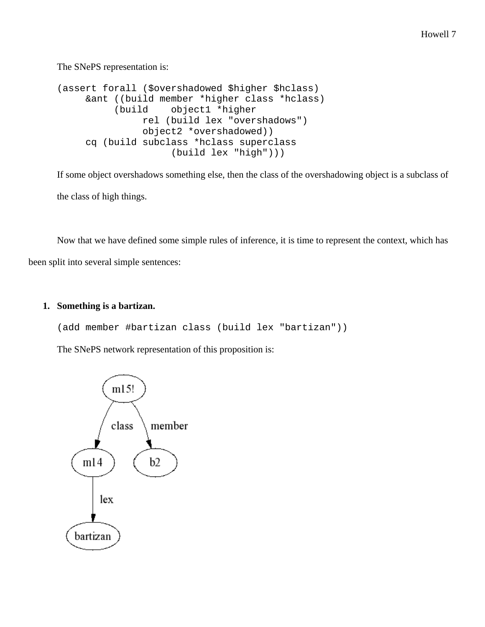The SNePS representation is:

```
(assert forall ($overshadowed $higher $hclass) 
      &ant ((build member *higher class *hclass) 
           (build object1 *higher 
                rel (build lex "overshadows") 
                object2 *overshadowed)) 
      cq (build subclass *hclass superclass 
                      (build lex "high")))
```
If some object overshadows something else, then the class of the overshadowing object is a subclass of the class of high things.

 Now that we have defined some simple rules of inference, it is time to represent the context, which has been split into several simple sentences:

## **1. Something is a bartizan.**

(add member #bartizan class (build lex "bartizan"))

The SNePS network representation of this proposition is:

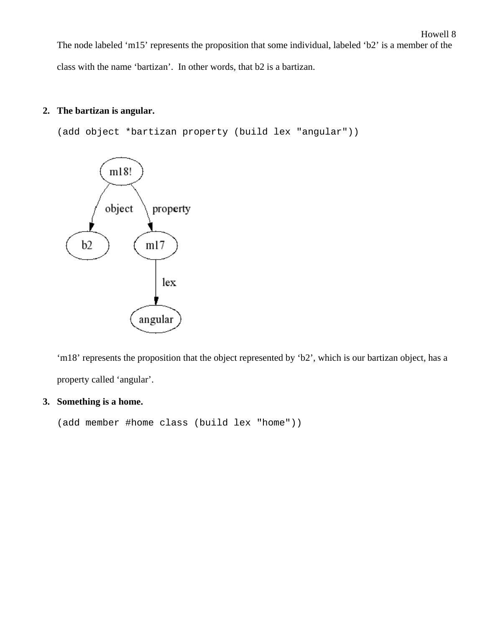Howell 8 The node labeled 'm15' represents the proposition that some individual, labeled 'b2' is a member of the class with the name 'bartizan'. In other words, that b2 is a bartizan.

# **2. The bartizan is angular.**

(add object \*bartizan property (build lex "angular"))



'm18' represents the proposition that the object represented by 'b2', which is our bartizan object, has a property called 'angular'.

## **3. Something is a home.**

(add member #home class (build lex "home"))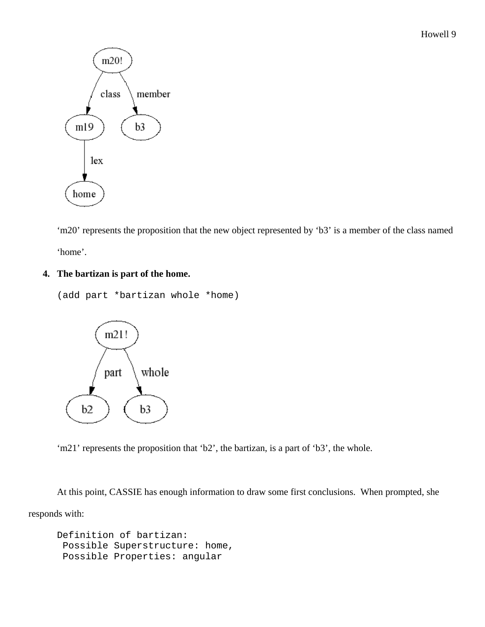

'm20' represents the proposition that the new object represented by 'b3' is a member of the class named 'home'.

# **4. The bartizan is part of the home.**

```
(add part *bartizan whole *home)
```


'm21' represents the proposition that 'b2', the bartizan, is a part of 'b3', the whole.

 At this point, CASSIE has enough information to draw some first conclusions. When prompted, she responds with:

```
Definition of bartizan: 
  Possible Superstructure: home, 
  Possible Properties: angular
```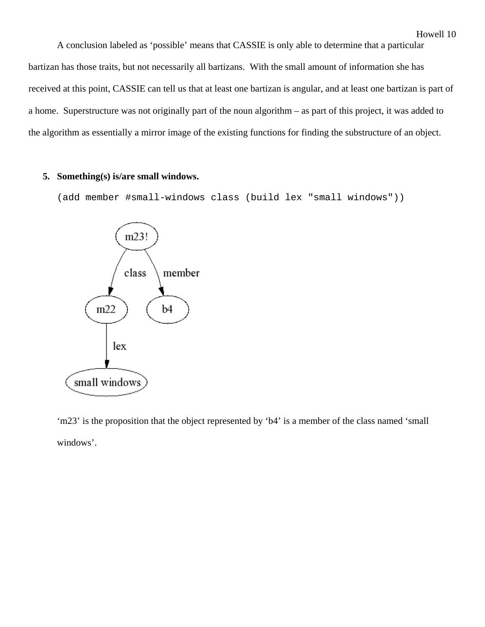A conclusion labeled as 'possible' means that CASSIE is only able to determine that a particular bartizan has those traits, but not necessarily all bartizans. With the small amount of information she has received at this point, CASSIE can tell us that at least one bartizan is angular, and at least one bartizan is part of a home. Superstructure was not originally part of the noun algorithm – as part of this project, it was added to the algorithm as essentially a mirror image of the existing functions for finding the substructure of an object.

#### **5. Something(s) is/are small windows.**

(add member #small-windows class (build lex "small windows"))



'm23' is the proposition that the object represented by 'b4' is a member of the class named 'small windows'.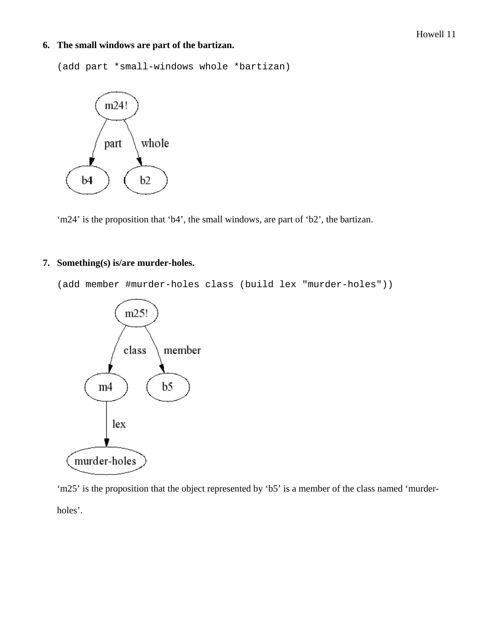## **6. The small windows are part of the bartizan.**

(add part \*small-windows whole \*bartizan)



'm24' is the proposition that 'b4', the small windows, are part of 'b2', the bartizan.

# **7. Something(s) is/are murder-holes.**

(add member #murder-holes class (build lex "murder-holes"))



'm25' is the proposition that the object represented by 'b5' is a member of the class named 'murderholes'.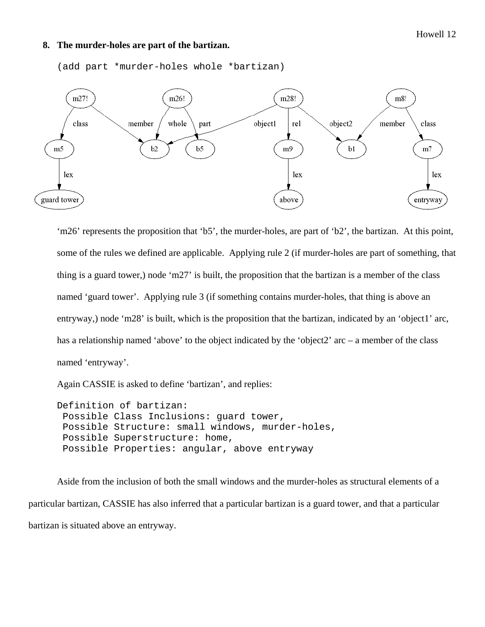#### **8. The murder-holes are part of the bartizan.**



(add part \*murder-holes whole \*bartizan)

'm26' represents the proposition that 'b5', the murder-holes, are part of 'b2', the bartizan. At this point, some of the rules we defined are applicable. Applying rule 2 (if murder-holes are part of something, that thing is a guard tower,) node 'm27' is built, the proposition that the bartizan is a member of the class named 'guard tower'. Applying rule 3 (if something contains murder-holes, that thing is above an entryway,) node 'm28' is built, which is the proposition that the bartizan, indicated by an 'object1' arc, has a relationship named 'above' to the object indicated by the 'object2' arc – a member of the class named 'entryway'.

Again CASSIE is asked to define 'bartizan', and replies:

Definition of bartizan: Possible Class Inclusions: guard tower, Possible Structure: small windows, murder-holes, Possible Superstructure: home, Possible Properties: angular, above entryway

 Aside from the inclusion of both the small windows and the murder-holes as structural elements of a particular bartizan, CASSIE has also inferred that a particular bartizan is a guard tower, and that a particular bartizan is situated above an entryway.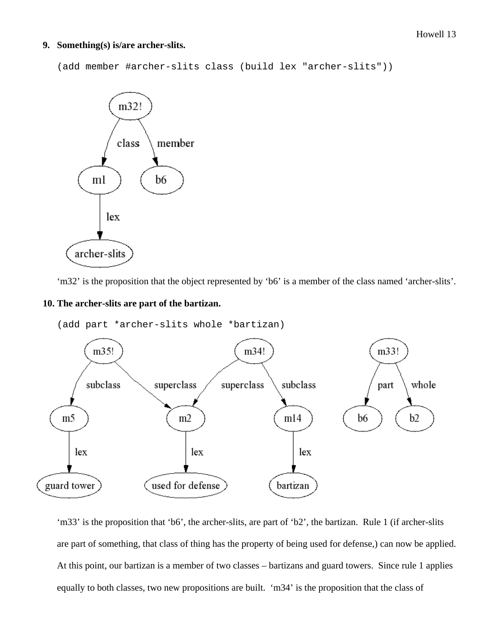#### **9. Something(s) is/are archer-slits.**

```
(add member #archer-slits class (build lex "archer-slits"))
```


'm32' is the proposition that the object represented by 'b6' is a member of the class named 'archer-slits'.

#### **10. The archer-slits are part of the bartizan.**

(add part \*archer-slits whole \*bartizan)



'm33' is the proposition that 'b6', the archer-slits, are part of 'b2', the bartizan. Rule 1 (if archer-slits are part of something, that class of thing has the property of being used for defense,) can now be applied. At this point, our bartizan is a member of two classes – bartizans and guard towers. Since rule 1 applies equally to both classes, two new propositions are built. 'm34' is the proposition that the class of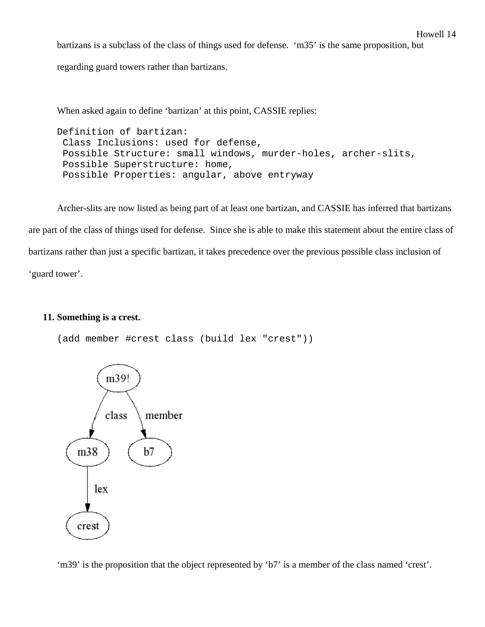bartizans is a subclass of the class of things used for defense. 'm35' is the same proposition, but

regarding guard towers rather than bartizans.

When asked again to define 'bartizan' at this point, CASSIE replies:

Definition of bartizan: Class Inclusions: used for defense, Possible Structure: small windows, murder-holes, archer-slits, Possible Superstructure: home, Possible Properties: angular, above entryway

 Archer-slits are now listed as being part of at least one bartizan, and CASSIE has inferred that bartizans are part of the class of things used for defense. Since she is able to make this statement about the entire class of bartizans rather than just a specific bartizan, it takes precedence over the previous possible class inclusion of 'guard tower'.

### **11. Something is a crest.**

(add member #crest class (build lex "crest"))



'm39' is the proposition that the object represented by 'b7' is a member of the class named 'crest'.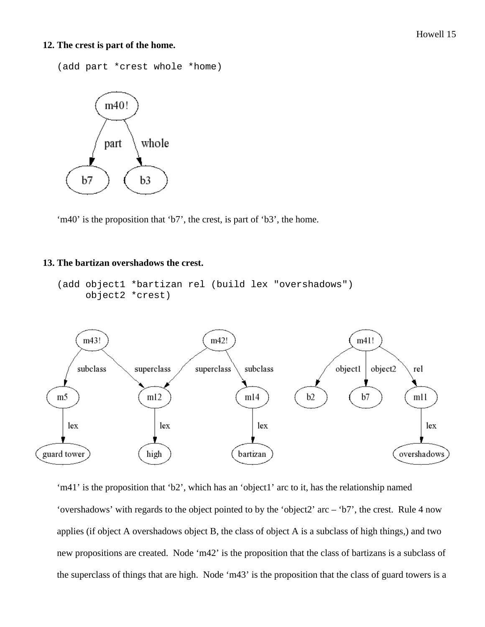#### Howell 15

#### **12. The crest is part of the home.**

```
(add part *crest whole *home)
```


'm40' is the proposition that 'b7', the crest, is part of 'b3', the home.

### **13. The bartizan overshadows the crest.**

```
(add object1 *bartizan rel (build lex "overshadows") 
      object2 *crest)
```


'm41' is the proposition that 'b2', which has an 'object1' arc to it, has the relationship named 'overshadows' with regards to the object pointed to by the 'object2' arc – 'b7', the crest. Rule 4 now applies (if object A overshadows object B, the class of object A is a subclass of high things,) and two new propositions are created. Node 'm42' is the proposition that the class of bartizans is a subclass of the superclass of things that are high. Node 'm43' is the proposition that the class of guard towers is a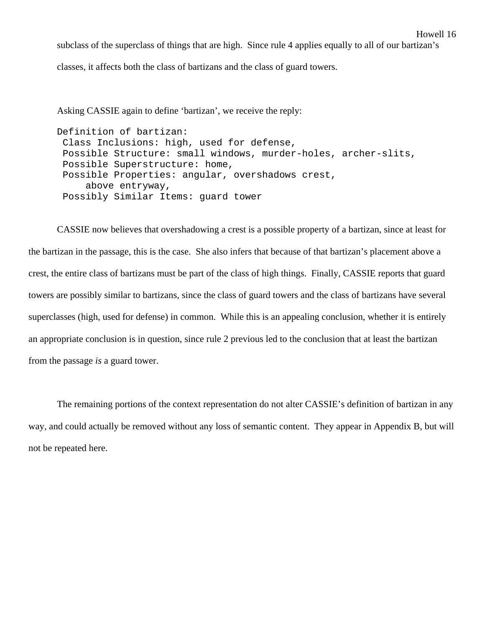subclass of the superclass of things that are high. Since rule 4 applies equally to all of our bartizan's

Howell 16

classes, it affects both the class of bartizans and the class of guard towers.

Asking CASSIE again to define 'bartizan', we receive the reply:

Definition of bartizan: Class Inclusions: high, used for defense, Possible Structure: small windows, murder-holes, archer-slits, Possible Superstructure: home, Possible Properties: angular, overshadows crest, above entryway, Possibly Similar Items: guard tower

 CASSIE now believes that overshadowing a crest is a possible property of a bartizan, since at least for the bartizan in the passage, this is the case. She also infers that because of that bartizan's placement above a crest, the entire class of bartizans must be part of the class of high things. Finally, CASSIE reports that guard towers are possibly similar to bartizans, since the class of guard towers and the class of bartizans have several superclasses (high, used for defense) in common. While this is an appealing conclusion, whether it is entirely an appropriate conclusion is in question, since rule 2 previous led to the conclusion that at least the bartizan from the passage *is* a guard tower.

 The remaining portions of the context representation do not alter CASSIE's definition of bartizan in any way, and could actually be removed without any loss of semantic content. They appear in Appendix B, but will not be repeated here.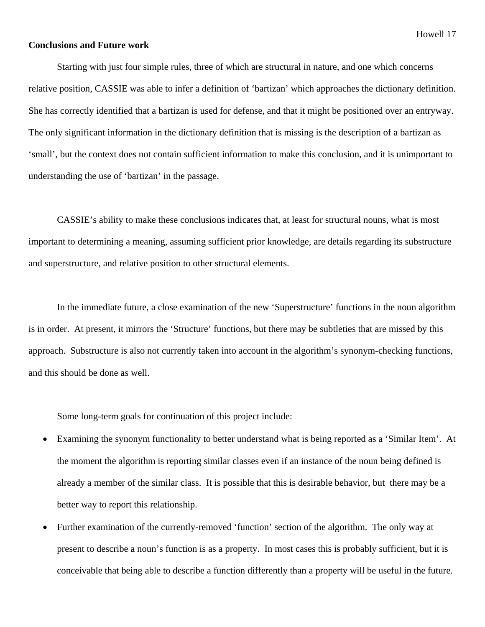#### **Conclusions and Future work**

 Starting with just four simple rules, three of which are structural in nature, and one which concerns relative position, CASSIE was able to infer a definition of 'bartizan' which approaches the dictionary definition. She has correctly identified that a bartizan is used for defense, and that it might be positioned over an entryway. The only significant information in the dictionary definition that is missing is the description of a bartizan as 'small', but the context does not contain sufficient information to make this conclusion, and it is unimportant to understanding the use of 'bartizan' in the passage.

 CASSIE's ability to make these conclusions indicates that, at least for structural nouns, what is most important to determining a meaning, assuming sufficient prior knowledge, are details regarding its substructure and superstructure, and relative position to other structural elements.

 In the immediate future, a close examination of the new 'Superstructure' functions in the noun algorithm is in order. At present, it mirrors the 'Structure' functions, but there may be subtleties that are missed by this approach. Substructure is also not currently taken into account in the algorithm's synonym-checking functions, and this should be done as well.

Some long-term goals for continuation of this project include:

- Examining the synonym functionality to better understand what is being reported as a 'Similar Item'. At the moment the algorithm is reporting similar classes even if an instance of the noun being defined is already a member of the similar class. It is possible that this is desirable behavior, but there may be a better way to report this relationship.
- Further examination of the currently-removed 'function' section of the algorithm. The only way at present to describe a noun's function is as a property. In most cases this is probably sufficient, but it is conceivable that being able to describe a function differently than a property will be useful in the future.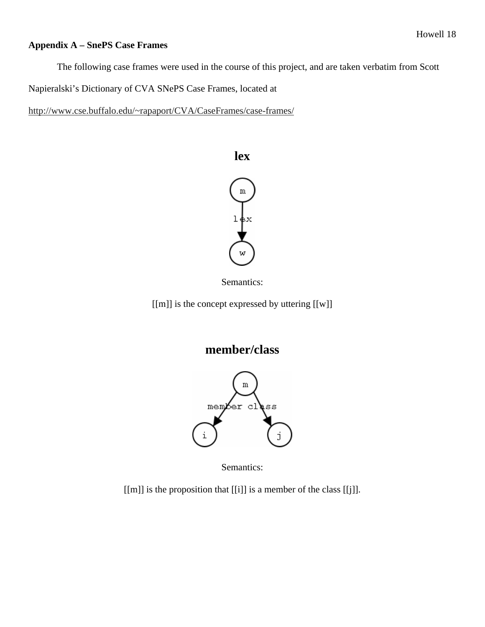# **Appendix A – SnePS Case Frames**

The following case frames were used in the course of this project, and are taken verbatim from Scott

Napieralski's Dictionary of CVA SNePS Case Frames, located at

http://www.cse.buffalo.edu/~rapaport/CVA/CaseFrames/case-frames/



Semantics:

[[m]] is the concept expressed by uttering [[w]]





Semantics:

[[m]] is the proposition that [[i]] is a member of the class [[j]].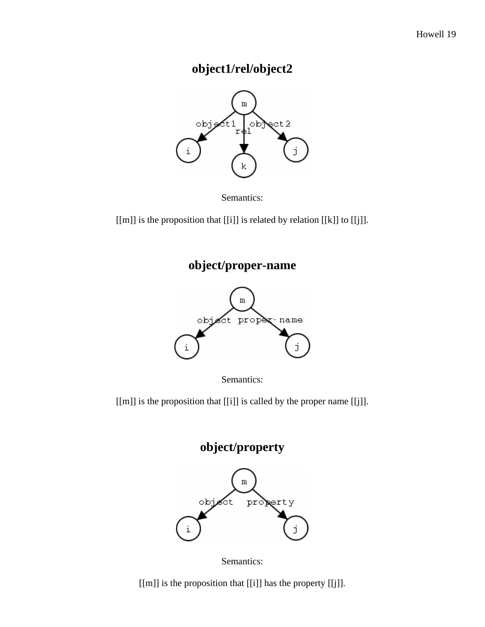# **object1/rel/object2**



Semantics:

[[m]] is the proposition that [[i]] is related by relation [[k]] to [[j]].

**object/proper-name** 



Semantics:

[[m]] is the proposition that [[i]] is called by the proper name [[j]].





[[m]] is the proposition that [[i]] has the property [[j]].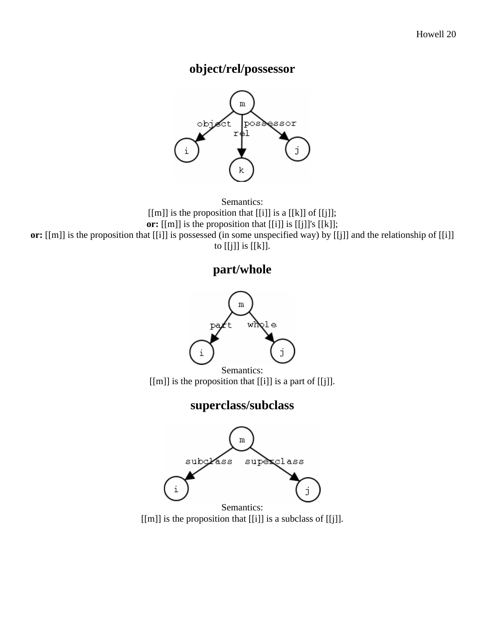# **object/rel/possessor**



Semantics:  $[[m]]$  is the proposition that  $[[i]]$  is a  $[[k]]$  of  $[[j]]$ ; **or:** [[m]] is the proposition that [[i]] is [[j]]'s [[k]]; **or:** [[m]] is the proposition that [[i]] is possessed (in some unspecified way) by [[j]] and the relationship of [[i]] to [[j]] is [[k]].

# **part/whole**



[[m]] is the proposition that [[i]] is a part of [[j]].

# **superclass/subclass**



[[m]] is the proposition that [[i]] is a subclass of [[j]].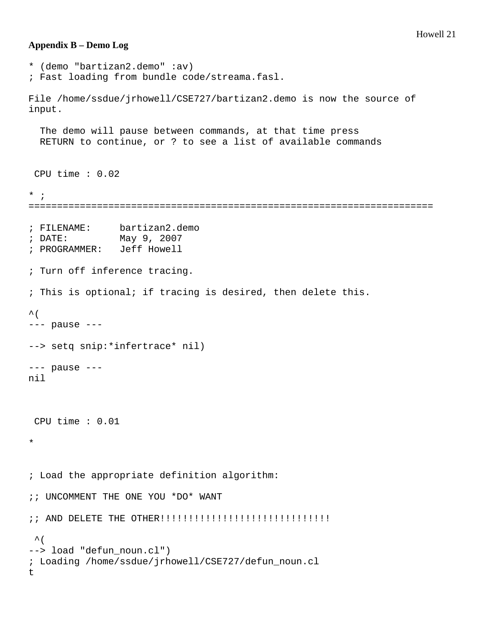#### Howell 21

#### **Appendix B – Demo Log**

```
* (demo "bartizan2.demo" :av) 
; Fast loading from bundle code/streama.fasl. 
File /home/ssdue/jrhowell/CSE727/bartizan2.demo is now the source of 
input. 
   The demo will pause between commands, at that time press 
   RETURN to continue, or ? to see a list of available commands 
  CPU time : 0.02 
* ; 
======================================================================= 
; FILENAME: bartizan2.demo 
; DATE: May 9, 2007 
; PROGRAMMER: Jeff Howell 
; Turn off inference tracing. 
; This is optional; if tracing is desired, then delete this. 
\wedge (
--- pause --- 
--> setq snip:*infertrace* nil) 
--- pause --- 
nil 
  CPU time : 0.01 
* 
; Load the appropriate definition algorithm: 
;; UNCOMMENT THE ONE YOU *DO* WANT 
;; AND DELETE THE OTHER!!!!!!!!!!!!!!!!!!!!!!!!!!!!!! 
\hat{\mathcal{L}}--> load "defun_noun.cl") 
; Loading /home/ssdue/jrhowell/CSE727/defun_noun.cl 
t
```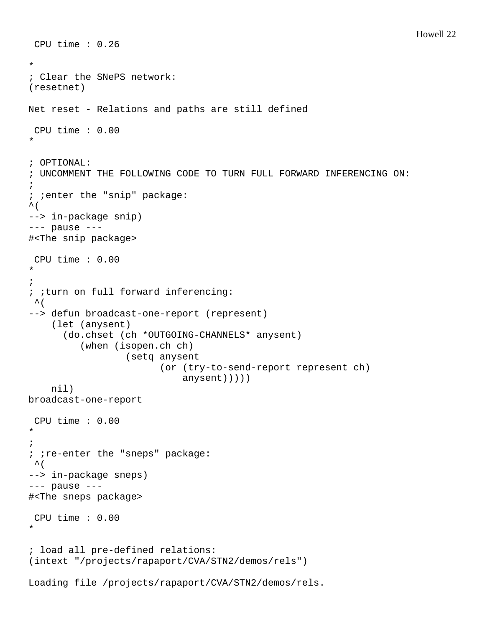```
 CPU time : 0.26 
* 
; Clear the SNePS network: 
(resetnet) 
Net reset - Relations and paths are still defined 
  CPU time : 0.00 
* 
; OPTIONAL: 
; UNCOMMENT THE FOLLOWING CODE TO TURN FULL FORWARD INFERENCING ON: 
; 
; ;enter the "snip" package: 
\sim (
--> in-package snip) 
--- pause --- 
#<The snip package> 
  CPU time : 0.00 
* 
; 
; ;turn on full forward inferencing: 
 \mathcal{A} (
--> defun broadcast-one-report (represent) 
     (let (anysent) 
        (do.chset (ch *OUTGOING-CHANNELS* anysent) 
           (when (isopen.ch ch) 
                    (setq anysent 
                           (or (try-to-send-report represent ch) 
                               anysent))))) 
     nil) 
broadcast-one-report 
  CPU time : 0.00 
* 
; 
; ;re-enter the "sneps" package:
\mathcal{\Lambda} (
--> in-package sneps) 
--- pause --- 
#<The sneps package> 
  CPU time : 0.00 
* 
; load all pre-defined relations: 
(intext "/projects/rapaport/CVA/STN2/demos/rels") 
Loading file /projects/rapaport/CVA/STN2/demos/rels.
```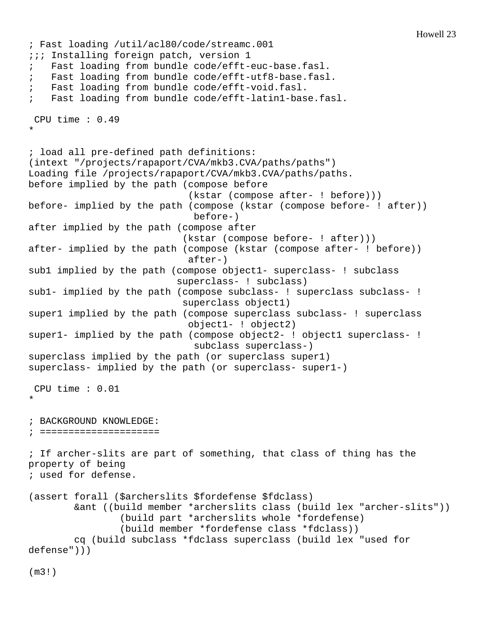```
; Fast loading /util/acl80/code/streamc.001 
i:i Installing foreign patch, version 1
    Fast loading from bundle code/efft-euc-base.fasl.
; Fast loading from bundle code/efft-utf8-base.fasl. 
; Fast loading from bundle code/efft-void.fasl. 
; Fast loading from bundle code/efft-latin1-base.fasl. 
  CPU time : 0.49 
* 
; load all pre-defined path definitions: 
(intext "/projects/rapaport/CVA/mkb3.CVA/paths/paths") 
Loading file /projects/rapaport/CVA/mkb3.CVA/paths/paths. 
before implied by the path (compose before 
                              (kstar (compose after- ! before))) 
before- implied by the path (compose (kstar (compose before- ! after)) 
                               before-) 
after implied by the path (compose after 
                             (kstar (compose before- ! after))) 
after- implied by the path (compose (kstar (compose after- ! before)) 
                              after-) 
sub1 implied by the path (compose object1- superclass- ! subclass 
                            superclass- ! subclass) 
sub1- implied by the path (compose subclass- ! superclass subclass- !
                             superclass object1) 
super1 implied by the path (compose superclass subclass- ! superclass 
                              object1- ! object2) 
super1- implied by the path (compose object2- ! object1 superclass- !
                               subclass superclass-) 
superclass implied by the path (or superclass super1) 
superclass- implied by the path (or superclass- super1-) 
  CPU time : 0.01 
* 
; BACKGROUND KNOWLEDGE: 
; ===================== 
; If archer-slits are part of something, that class of thing has the 
property of being 
; used for defense. 
(assert forall ($archerslits $fordefense $fdclass) 
         &ant ((build member *archerslits class (build lex "archer-slits")) 
                  (build part *archerslits whole *fordefense) 
                  (build member *fordefense class *fdclass)) 
         cq (build subclass *fdclass superclass (build lex "used for 
defense")))
```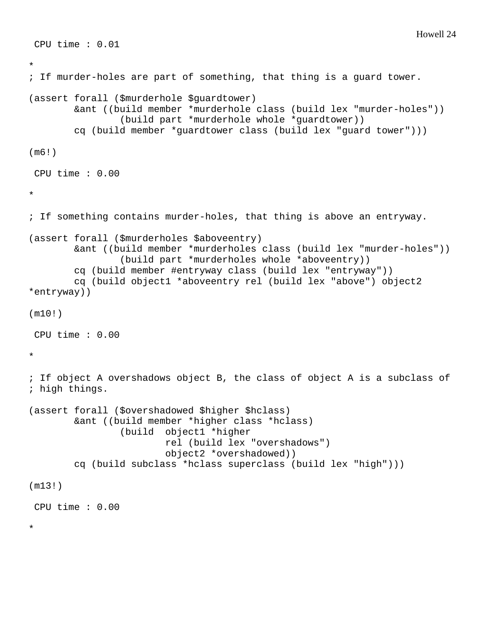```
 CPU time : 0.01 
* 
; If murder-holes are part of something, that thing is a guard tower. 
(assert forall ($murderhole $guardtower) 
         &ant ((build member *murderhole class (build lex "murder-holes")) 
                  (build part *murderhole whole *guardtower)) 
         cq (build member *guardtower class (build lex "guard tower"))) 
(m6!) 
 CPU time : 0.00 
* 
; If something contains murder-holes, that thing is above an entryway. 
(assert forall ($murderholes $aboveentry) 
         &ant ((build member *murderholes class (build lex "murder-holes")) 
                  (build part *murderholes whole *aboveentry)) 
         cq (build member #entryway class (build lex "entryway")) 
         cq (build object1 *aboveentry rel (build lex "above") object2 
*entryway)) 
(m10!) 
 CPU time : 0.00 
* 
; If object A overshadows object B, the class of object A is a subclass of 
; high things. 
(assert forall ($overshadowed $higher $hclass) 
         &ant ((build member *higher class *hclass) 
                  (build object1 *higher 
                          rel (build lex "overshadows") 
                          object2 *overshadowed)) 
         cq (build subclass *hclass superclass (build lex "high"))) 
(m13!) 
 CPU time : 0.00 
*
```
Howell 24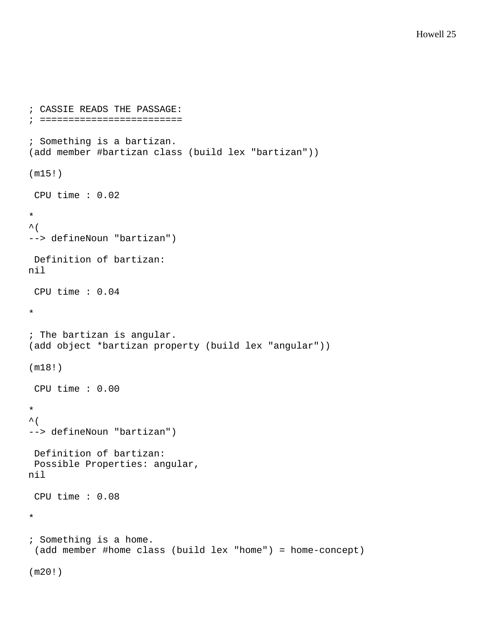```
; CASSIE READS THE PASSAGE: 
; ========================= 
; Something is a bartizan. 
(add member #bartizan class (build lex "bartizan")) 
(m15!) 
  CPU time : 0.02 
* 
\lambda (
--> defineNoun "bartizan") 
  Definition of bartizan: 
nil 
  CPU time : 0.04 
* 
; The bartizan is angular. 
(add object *bartizan property (build lex "angular")) 
(m18!) 
  CPU time : 0.00 
* 
\lambda (
--> defineNoun "bartizan") 
  Definition of bartizan: 
  Possible Properties: angular, 
nil 
  CPU time : 0.08 
* 
; Something is a home. 
  (add member #home class (build lex "home") = home-concept) 
(m20!)
```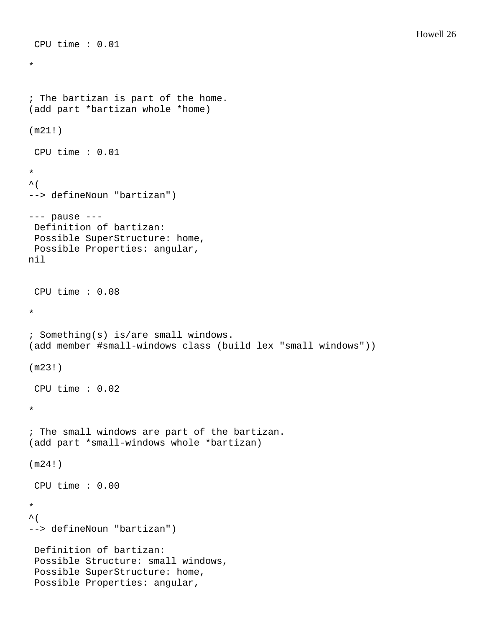```
* 
; The bartizan is part of the home. 
(add part *bartizan whole *home) 
(m21!) 
 CPU time : 0.01 
* 
\sim (
--> defineNoun "bartizan") 
--- pause --- 
 Definition of bartizan: 
 Possible SuperStructure: home, 
 Possible Properties: angular, 
nil 
  CPU time : 0.08 
* 
; Something(s) is/are small windows. 
(add member #small-windows class (build lex "small windows")) 
(m23!) 
  CPU time : 0.02 
* 
; The small windows are part of the bartizan. 
(add part *small-windows whole *bartizan) 
(m24!) 
 CPU time : 0.00 
* 
\sim (
--> defineNoun "bartizan") 
 Definition of bartizan: 
  Possible Structure: small windows, 
  Possible SuperStructure: home, 
  Possible Properties: angular,
```
CPU time : 0.01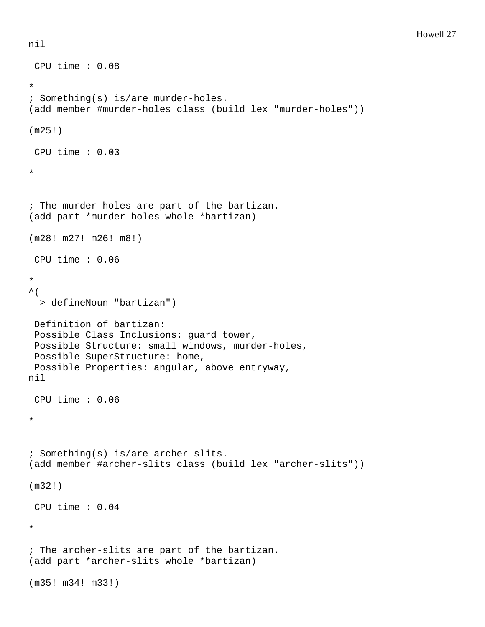```
 CPU time : 0.08 
* 
; Something(s) is/are murder-holes. 
(add member #murder-holes class (build lex "murder-holes")) 
(m25!) 
 CPU time : 0.03 
* 
; The murder-holes are part of the bartizan. 
(add part *murder-holes whole *bartizan) 
(m28! m27! m26! m8!) 
 CPU time : 0.06 
* 
\sim (
--> defineNoun "bartizan") 
 Definition of bartizan: 
  Possible Class Inclusions: guard tower, 
  Possible Structure: small windows, murder-holes, 
  Possible SuperStructure: home, 
  Possible Properties: angular, above entryway, 
nil 
  CPU time : 0.06 
* 
; Something(s) is/are archer-slits. 
(add member #archer-slits class (build lex "archer-slits")) 
(m32!) 
  CPU time : 0.04 
* 
; The archer-slits are part of the bartizan. 
(add part *archer-slits whole *bartizan) 
(m35! m34! m33!)
```
nil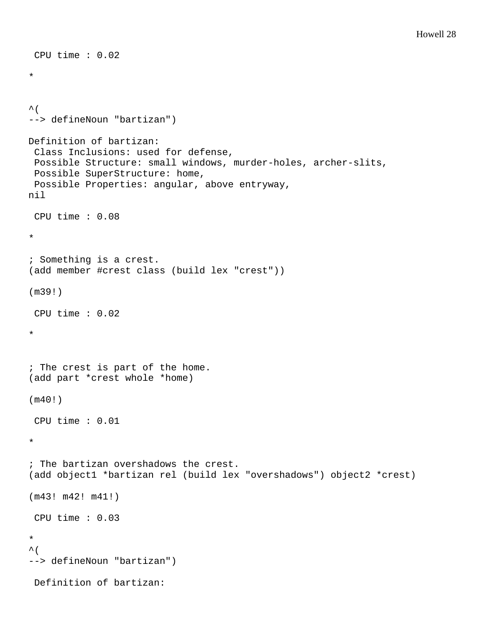```
 CPU time : 0.02 
* 
\sim (
--> defineNoun "bartizan") 
Definition of bartizan: 
  Class Inclusions: used for defense, 
  Possible Structure: small windows, murder-holes, archer-slits, 
  Possible SuperStructure: home, 
  Possible Properties: angular, above entryway, 
nil 
  CPU time : 0.08 
* 
; Something is a crest. 
(add member #crest class (build lex "crest")) 
(m39!) 
  CPU time : 0.02 
* 
; The crest is part of the home. 
(add part *crest whole *home) 
(m40!) 
  CPU time : 0.01 
* 
; The bartizan overshadows the crest. 
(add object1 *bartizan rel (build lex "overshadows") object2 *crest) 
(m43! m42! m41!) 
  CPU time : 0.03 
* 
\sim (
--> defineNoun "bartizan") 
  Definition of bartizan:
```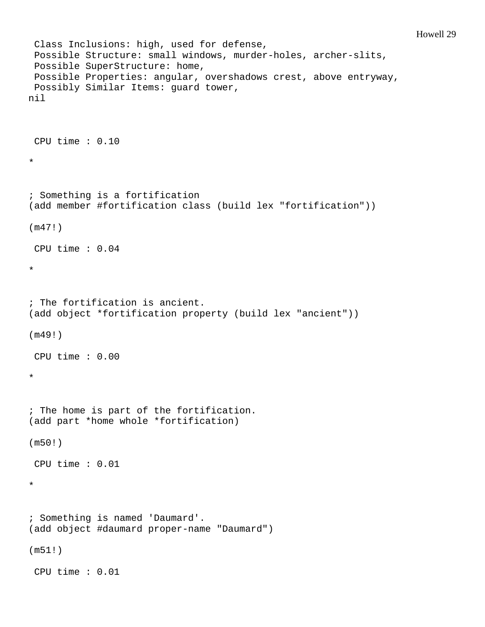```
 Class Inclusions: high, used for defense, 
  Possible Structure: small windows, murder-holes, archer-slits, 
  Possible SuperStructure: home, 
  Possible Properties: angular, overshadows crest, above entryway, 
  Possibly Similar Items: guard tower, 
nil 
  CPU time : 0.10 
* 
; Something is a fortification 
(add member #fortification class (build lex "fortification")) 
(m47!) 
 CPU time : 0.04 
* 
; The fortification is ancient. 
(add object *fortification property (build lex "ancient")) 
(m49!) 
  CPU time : 0.00 
* 
; The home is part of the fortification. 
(add part *home whole *fortification) 
(m50!) 
 CPU time : 0.01 
* 
; Something is named 'Daumard'. 
(add object #daumard proper-name "Daumard") 
(m51!) 
  CPU time : 0.01
```
Howell 29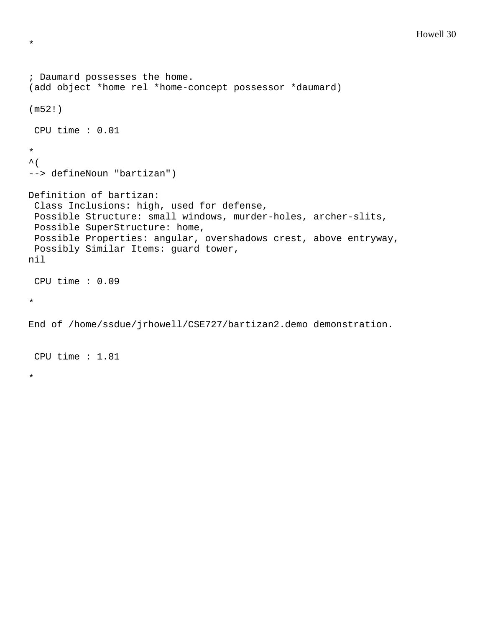```
; Daumard possesses the home. 
(add object *home rel *home-concept possessor *daumard) 
(m52!) 
 CPU time : 0.01 
* 
\sim (
--> defineNoun "bartizan") 
Definition of bartizan: 
  Class Inclusions: high, used for defense, 
  Possible Structure: small windows, murder-holes, archer-slits, 
  Possible SuperStructure: home, 
  Possible Properties: angular, overshadows crest, above entryway, 
  Possibly Similar Items: guard tower, 
nil 
 CPU time : 0.09 
* 
End of /home/ssdue/jrhowell/CSE727/bartizan2.demo demonstration.
```
CPU time : 1.81

\*

\*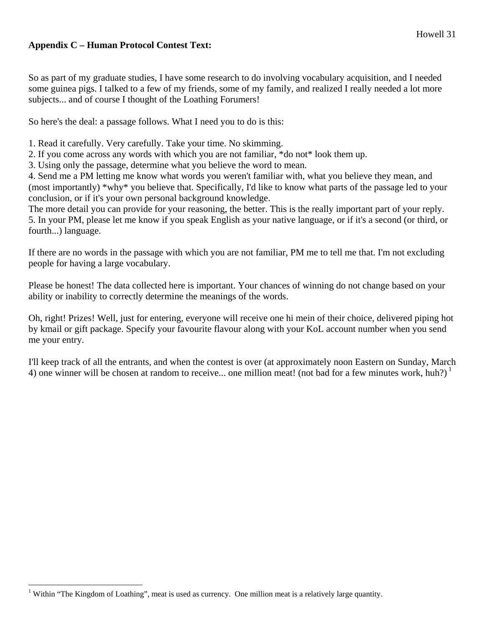## **Appendix C – Human Protocol Contest Text:**

So as part of my graduate studies, I have some research to do involving vocabulary acquisition, and I needed some guinea pigs. I talked to a few of my friends, some of my family, and realized I really needed a lot more subjects... and of course I thought of the Loathing Forumers!

So here's the deal: a passage follows. What I need you to do is this:

1. Read it carefully. Very carefully. Take your time. No skimming.

- 2. If you come across any words with which you are not familiar, \*do not\* look them up.
- 3. Using only the passage, determine what you believe the word to mean.

4. Send me a PM letting me know what words you weren't familiar with, what you believe they mean, and (most importantly) \*why\* you believe that. Specifically, I'd like to know what parts of the passage led to your conclusion, or if it's your own personal background knowledge.

The more detail you can provide for your reasoning, the better. This is the really important part of your reply. 5. In your PM, please let me know if you speak English as your native language, or if it's a second (or third, or fourth...) language.

If there are no words in the passage with which you are not familiar, PM me to tell me that. I'm not excluding people for having a large vocabulary.

Please be honest! The data collected here is important. Your chances of winning do not change based on your ability or inability to correctly determine the meanings of the words.

Oh, right! Prizes! Well, just for entering, everyone will receive one hi mein of their choice, delivered piping hot by kmail or gift package. Specify your favourite flavour along with your KoL account number when you send me your entry.

I'll keep track of all the entrants, and when the contest is over (at approximately noon Eastern on Sunday, March 4) one winner will be chosen at random to receive... one million meat! (not bad for a few minutes work, huh?)<sup>1</sup>

 $\overline{a}$ <sup>1</sup> Within "The Kingdom of Loathing", meat is used as currency. One million meat is a relatively large quantity.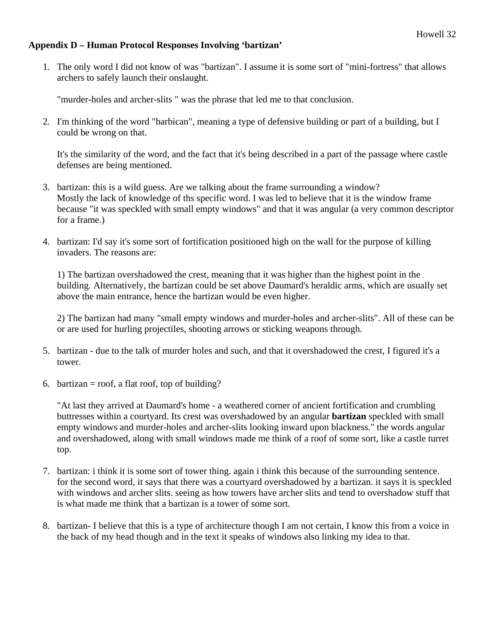## **Appendix D – Human Protocol Responses Involving 'bartizan'**

1. The only word I did not know of was "bartizan". I assume it is some sort of "mini-fortress" that allows archers to safely launch their onslaught.

"murder-holes and archer-slits " was the phrase that led me to that conclusion.

2. I'm thinking of the word "barbican", meaning a type of defensive building or part of a building, but I could be wrong on that.

It's the similarity of the word, and the fact that it's being described in a part of the passage where castle defenses are being mentioned.

- 3. bartizan: this is a wild guess. Are we talking about the frame surrounding a window? Mostly the lack of knowledge of ths specific word. I was led to believe that it is the window frame because "it was speckled with small empty windows" and that it was angular (a very common descriptor for a frame.)
- 4. bartizan: I'd say it's some sort of fortification positioned high on the wall for the purpose of killing invaders. The reasons are:

1) The bartizan overshadowed the crest, meaning that it was higher than the highest point in the building. Alternatively, the bartizan could be set above Daumard's heraldic arms, which are usually set above the main entrance, hence the bartizan would be even higher.

2) The bartizan had many "small empty windows and murder-holes and archer-slits". All of these can be or are used for hurling projectiles, shooting arrows or sticking weapons through.

- 5. bartizan due to the talk of murder holes and such, and that it overshadowed the crest, I figured it's a tower.
- 6. bartizan = roof, a flat roof, top of building?

"At last they arrived at Daumard's home - a weathered corner of ancient fortification and crumbling buttresses within a courtyard. Its crest was overshadowed by an angular **bartizan** speckled with small empty windows and murder-holes and archer-slits looking inward upon blackness." the words angular and overshadowed, along with small windows made me think of a roof of some sort, like a castle turret top.

- 7. bartizan: i think it is some sort of tower thing. again i think this because of the surrounding sentence. for the second word, it says that there was a courtyard overshadowed by a bartizan. it says it is speckled with windows and archer slits. seeing as how towers have archer slits and tend to overshadow stuff that is what made me think that a bartizan is a tower of some sort.
- 8. bartizan- I believe that this is a type of architecture though I am not certain, I know this from a voice in the back of my head though and in the text it speaks of windows also linking my idea to that.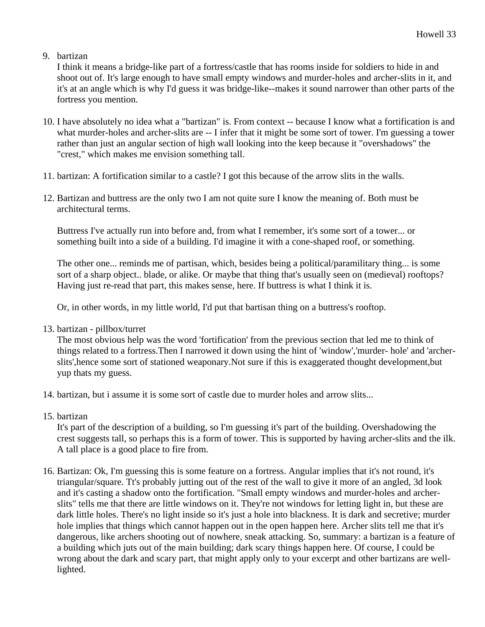## 9. bartizan

I think it means a bridge-like part of a fortress/castle that has rooms inside for soldiers to hide in and shoot out of. It's large enough to have small empty windows and murder-holes and archer-slits in it, and it's at an angle which is why I'd guess it was bridge-like--makes it sound narrower than other parts of the fortress you mention.

- 10. I have absolutely no idea what a "bartizan" is. From context -- because I know what a fortification is and what murder-holes and archer-slits are -- I infer that it might be some sort of tower. I'm guessing a tower rather than just an angular section of high wall looking into the keep because it "overshadows" the "crest," which makes me envision something tall.
- 11. bartizan: A fortification similar to a castle? I got this because of the arrow slits in the walls.
- 12. Bartizan and buttress are the only two I am not quite sure I know the meaning of. Both must be architectural terms.

Buttress I've actually run into before and, from what I remember, it's some sort of a tower... or something built into a side of a building. I'd imagine it with a cone-shaped roof, or something.

The other one... reminds me of partisan, which, besides being a political/paramilitary thing... is some sort of a sharp object.. blade, or alike. Or maybe that thing that's usually seen on (medieval) rooftops? Having just re-read that part, this makes sense, here. If buttress is what I think it is.

Or, in other words, in my little world, I'd put that bartisan thing on a buttress's rooftop.

13. bartizan - pillbox/turret

The most obvious help was the word 'fortification' from the previous section that led me to think of things related to a fortress.Then I narrowed it down using the hint of 'window','murder- hole' and 'archerslits',hence some sort of stationed weaponary.Not sure if this is exaggerated thought development,but yup thats my guess.

- 14. bartizan, but i assume it is some sort of castle due to murder holes and arrow slits...
- 15. bartizan

It's part of the description of a building, so I'm guessing it's part of the building. Overshadowing the crest suggests tall, so perhaps this is a form of tower. This is supported by having archer-slits and the ilk. A tall place is a good place to fire from.

16. Bartizan: Ok, I'm guessing this is some feature on a fortress. Angular implies that it's not round, it's triangular/square. Tt's probably jutting out of the rest of the wall to give it more of an angled, 3d look and it's casting a shadow onto the fortification. "Small empty windows and murder-holes and archerslits" tells me that there are little windows on it. They're not windows for letting light in, but these are dark little holes. There's no light inside so it's just a hole into blackness. It is dark and secretive; murder hole implies that things which cannot happen out in the open happen here. Archer slits tell me that it's dangerous, like archers shooting out of nowhere, sneak attacking. So, summary: a bartizan is a feature of a building which juts out of the main building; dark scary things happen here. Of course, I could be wrong about the dark and scary part, that might apply only to your excerpt and other bartizans are welllighted.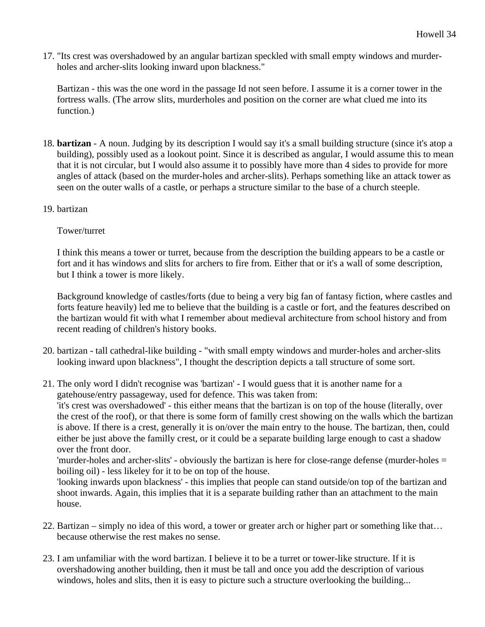17. "Its crest was overshadowed by an angular bartizan speckled with small empty windows and murderholes and archer-slits looking inward upon blackness."

Bartizan - this was the one word in the passage Id not seen before. I assume it is a corner tower in the fortress walls. (The arrow slits, murderholes and position on the corner are what clued me into its function.)

- 18. **bartizan** A noun. Judging by its description I would say it's a small building structure (since it's atop a building), possibly used as a lookout point. Since it is described as angular, I would assume this to mean that it is not circular, but I would also assume it to possibly have more than 4 sides to provide for more angles of attack (based on the murder-holes and archer-slits). Perhaps something like an attack tower as seen on the outer walls of a castle, or perhaps a structure similar to the base of a church steeple.
- 19. bartizan

# Tower/turret

I think this means a tower or turret, because from the description the building appears to be a castle or fort and it has windows and slits for archers to fire from. Either that or it's a wall of some description, but I think a tower is more likely.

Background knowledge of castles/forts (due to being a very big fan of fantasy fiction, where castles and forts feature heavily) led me to believe that the building is a castle or fort, and the features described on the bartizan would fit with what I remember about medieval architecture from school history and from recent reading of children's history books.

- 20. bartizan tall cathedral-like building "with small empty windows and murder-holes and archer-slits looking inward upon blackness", I thought the description depicts a tall structure of some sort.
- 21. The only word I didn't recognise was 'bartizan' I would guess that it is another name for a gatehouse/entry passageway, used for defence. This was taken from:

'it's crest was overshadowed' - this either means that the bartizan is on top of the house (literally, over the crest of the roof), or that there is some form of familly crest showing on the walls which the bartizan is above. If there is a crest, generally it is on/over the main entry to the house. The bartizan, then, could either be just above the familly crest, or it could be a separate building large enough to cast a shadow over the front door.

'murder-holes and archer-slits' - obviously the bartizan is here for close-range defense (murder-holes = boiling oil) - less likeley for it to be on top of the house.

'looking inwards upon blackness' - this implies that people can stand outside/on top of the bartizan and shoot inwards. Again, this implies that it is a separate building rather than an attachment to the main house.

- 22. Bartizan simply no idea of this word, a tower or greater arch or higher part or something like that… because otherwise the rest makes no sense.
- 23. I am unfamiliar with the word bartizan. I believe it to be a turret or tower-like structure. If it is overshadowing another building, then it must be tall and once you add the description of various windows, holes and slits, then it is easy to picture such a structure overlooking the building...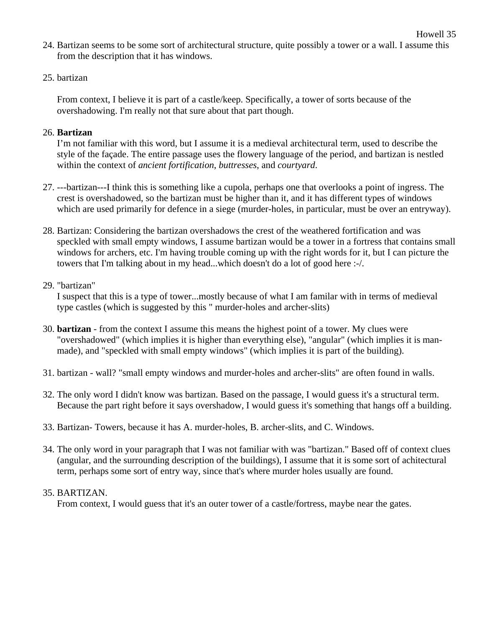24. Bartizan seems to be some sort of architectural structure, quite possibly a tower or a wall. I assume this from the description that it has windows.

Howell 35

25. bartizan

From context, I believe it is part of a castle/keep. Specifically, a tower of sorts because of the overshadowing. I'm really not that sure about that part though.

## 26. **Bartizan**

I'm not familiar with this word, but I assume it is a medieval architectural term, used to describe the style of the façade. The entire passage uses the flowery language of the period, and bartizan is nestled within the context of *ancient fortification*, *buttresses*, and *courtyard*.

- 27. ---bartizan---I think this is something like a cupola, perhaps one that overlooks a point of ingress. The crest is overshadowed, so the bartizan must be higher than it, and it has different types of windows which are used primarily for defence in a siege (murder-holes, in particular, must be over an entryway).
- 28. Bartizan: Considering the bartizan overshadows the crest of the weathered fortification and was speckled with small empty windows, I assume bartizan would be a tower in a fortress that contains small windows for archers, etc. I'm having trouble coming up with the right words for it, but I can picture the towers that I'm talking about in my head...which doesn't do a lot of good here :-/.

## 29. "bartizan"

I suspect that this is a type of tower...mostly because of what I am familar with in terms of medieval type castles (which is suggested by this " murder-holes and archer-slits)

- 30. **bartizan** from the context I assume this means the highest point of a tower. My clues were "overshadowed" (which implies it is higher than everything else), "angular" (which implies it is manmade), and "speckled with small empty windows" (which implies it is part of the building).
- 31. bartizan wall? "small empty windows and murder-holes and archer-slits" are often found in walls.
- 32. The only word I didn't know was bartizan. Based on the passage, I would guess it's a structural term. Because the part right before it says overshadow, I would guess it's something that hangs off a building.
- 33. Bartizan- Towers, because it has A. murder-holes, B. archer-slits, and C. Windows.
- 34. The only word in your paragraph that I was not familiar with was "bartizan." Based off of context clues (angular, and the surrounding description of the buildings), I assume that it is some sort of achitectural term, perhaps some sort of entry way, since that's where murder holes usually are found.

## 35. BARTIZAN.

From context, I would guess that it's an outer tower of a castle/fortress, maybe near the gates.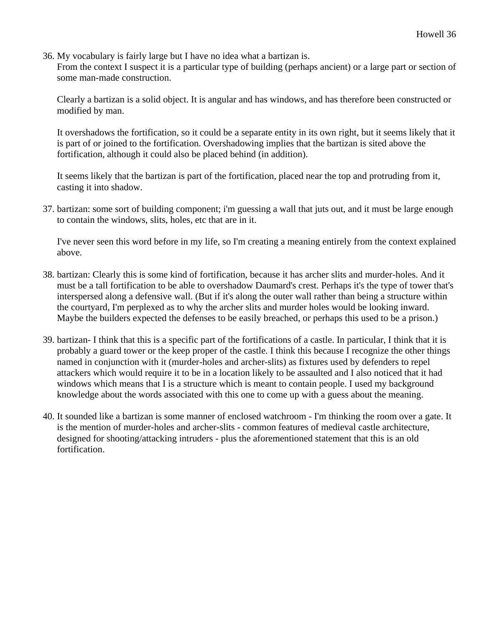36. My vocabulary is fairly large but I have no idea what a bartizan is.

From the context I suspect it is a particular type of building (perhaps ancient) or a large part or section of some man-made construction.

Clearly a bartizan is a solid object. It is angular and has windows, and has therefore been constructed or modified by man.

It overshadows the fortification, so it could be a separate entity in its own right, but it seems likely that it is part of or joined to the fortification. Overshadowing implies that the bartizan is sited above the fortification, although it could also be placed behind (in addition).

It seems likely that the bartizan is part of the fortification, placed near the top and protruding from it, casting it into shadow.

37. bartizan: some sort of building component; i'm guessing a wall that juts out, and it must be large enough to contain the windows, slits, holes, etc that are in it.

I've never seen this word before in my life, so I'm creating a meaning entirely from the context explained above.

- 38. bartizan: Clearly this is some kind of fortification, because it has archer slits and murder-holes. And it must be a tall fortification to be able to overshadow Daumard's crest. Perhaps it's the type of tower that's interspersed along a defensive wall. (But if it's along the outer wall rather than being a structure within the courtyard, I'm perplexed as to why the archer slits and murder holes would be looking inward. Maybe the builders expected the defenses to be easily breached, or perhaps this used to be a prison.)
- 39. bartizan- I think that this is a specific part of the fortifications of a castle. In particular, I think that it is probably a guard tower or the keep proper of the castle. I think this because I recognize the other things named in conjunction with it (murder-holes and archer-slits) as fixtures used by defenders to repel attackers which would require it to be in a location likely to be assaulted and I also noticed that it had windows which means that I is a structure which is meant to contain people. I used my background knowledge about the words associated with this one to come up with a guess about the meaning.
- 40. It sounded like a bartizan is some manner of enclosed watchroom I'm thinking the room over a gate. It is the mention of murder-holes and archer-slits - common features of medieval castle architecture, designed for shooting/attacking intruders - plus the aforementioned statement that this is an old fortification.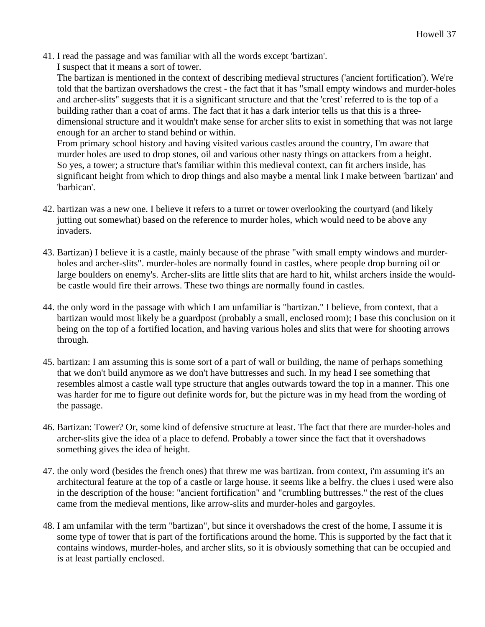41. I read the passage and was familiar with all the words except 'bartizan'.

I suspect that it means a sort of tower.

The bartizan is mentioned in the context of describing medieval structures ('ancient fortification'). We're told that the bartizan overshadows the crest - the fact that it has "small empty windows and murder-holes and archer-slits" suggests that it is a significant structure and that the 'crest' referred to is the top of a building rather than a coat of arms. The fact that it has a dark interior tells us that this is a threedimensional structure and it wouldn't make sense for archer slits to exist in something that was not large enough for an archer to stand behind or within.

From primary school history and having visited various castles around the country, I'm aware that murder holes are used to drop stones, oil and various other nasty things on attackers from a height. So yes, a tower; a structure that's familiar within this medieval context, can fit archers inside, has significant height from which to drop things and also maybe a mental link I make between 'bartizan' and 'barbican'.

- 42. bartizan was a new one. I believe it refers to a turret or tower overlooking the courtyard (and likely jutting out somewhat) based on the reference to murder holes, which would need to be above any invaders.
- 43. Bartizan) I believe it is a castle, mainly because of the phrase "with small empty windows and murderholes and archer-slits". murder-holes are normally found in castles, where people drop burning oil or large boulders on enemy's. Archer-slits are little slits that are hard to hit, whilst archers inside the wouldbe castle would fire their arrows. These two things are normally found in castles.
- 44. the only word in the passage with which I am unfamiliar is "bartizan." I believe, from context, that a bartizan would most likely be a guardpost (probably a small, enclosed room); I base this conclusion on it being on the top of a fortified location, and having various holes and slits that were for shooting arrows through.
- 45. bartizan: I am assuming this is some sort of a part of wall or building, the name of perhaps something that we don't build anymore as we don't have buttresses and such. In my head I see something that resembles almost a castle wall type structure that angles outwards toward the top in a manner. This one was harder for me to figure out definite words for, but the picture was in my head from the wording of the passage.
- 46. Bartizan: Tower? Or, some kind of defensive structure at least. The fact that there are murder-holes and archer-slits give the idea of a place to defend. Probably a tower since the fact that it overshadows something gives the idea of height.
- 47. the only word (besides the french ones) that threw me was bartizan. from context, i'm assuming it's an architectural feature at the top of a castle or large house. it seems like a belfry. the clues i used were also in the description of the house: "ancient fortification" and "crumbling buttresses." the rest of the clues came from the medieval mentions, like arrow-slits and murder-holes and gargoyles.
- 48. I am unfamilar with the term "bartizan", but since it overshadows the crest of the home, I assume it is some type of tower that is part of the fortifications around the home. This is supported by the fact that it contains windows, murder-holes, and archer slits, so it is obviously something that can be occupied and is at least partially enclosed.